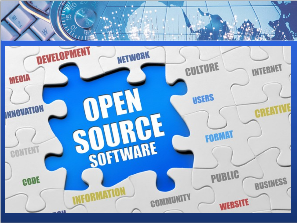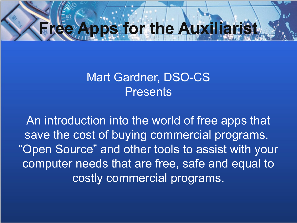# **E** Apps for the Auxiliarist

#### Mart Gardner, DSO-CS **Presents**

An introduction into the world of free apps that save the cost of buying commercial programs. "Open Source" and other tools to assist with your computer needs that are free, safe and equal to costly commercial programs.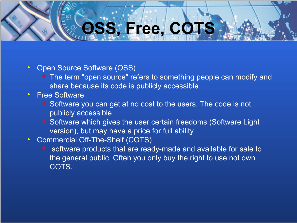# **OSS, Free, COTS**

#### Open Source Software (OSS)

 The term "open source" refers to something people can modify and share because its code is publicly accessible.

#### Free Software

- ◆ Software you can get at no cost to the users. The code is not publicly accessible.
- ◆ Software which gives the user certain freedoms (Software Light version), but may have a price for full ability.

#### • Commercial Off-The-Shelf (COTS)

 software products that are ready-made and available for sale to the general public. Often you only buy the right to use not own COTS.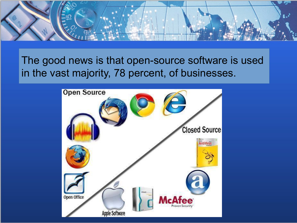

The good news is that open-source software is used in the vast majority, 78 percent, of businesses.

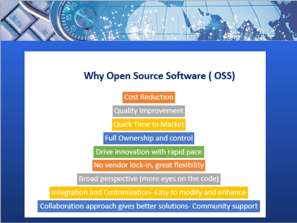

#### **Why Open Source Software (OSS)**

**Cost Reduction** 

Quality Improvement

**Quick Time to Market** 

Full Ownership and control

Drive innovation with rapid pace

No vendor lock-in, great flexibility

Broad perspective (more eyes on the code)

Integration and Customization- Easy to modify and enhance

Collaboration approach gives better solutions- Community support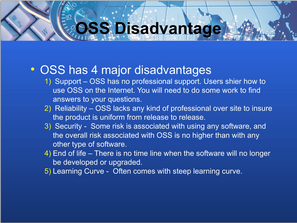# **OSS Disadvantage**

#### OSS has 4 major disadvantages

- 1) Support OSS has no professional support. Users shier how to use OSS on the Internet. You will need to do some work to find answers to your questions.
- 2) Reliability OSS lacks any kind of professional over site to insure the product is uniform from release to release.
- 3) Security Some risk is associated with using any software, and the overall risk associated with OSS is no higher than with any other type of software.
- 4) End of life There is no time line when the software will no longer be developed or upgraded.
- 5) Learning Curve Often comes with steep learning curve.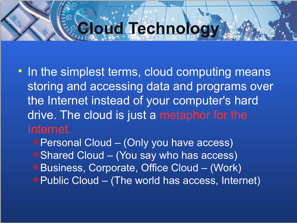## **Cloud Technology**

- In the simplest terms, cloud computing means storing and accessing data and programs over the Internet instead of your computer's hard drive. The cloud is just a metaphor for the Internet.
	- ◆ Personal Cloud (Only you have access) ◆ Shared Cloud – (You say who has access) ◆ Business, Corporate, Office Cloud – (Work) ◆ Public Cloud – (The world has access, Internet)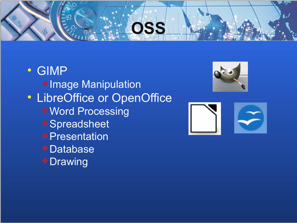# **OSS**

 GIMP **Image Manipulation**  LibreOffice or OpenOffice Word Processing ◆ Spreadsheet **Presentation** Database ◆ Drawing



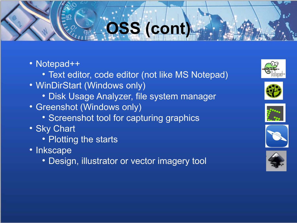# **OSS (cont)**

#### • Notepad++

- Text editor, code editor (not like MS Notepad)
- WinDirStart (Windows only)
	- Disk Usage Analyzer, file system manager
- Greenshot (Windows only)
	- Screenshot tool for capturing graphics
- Sky Chart
	- Plotting the starts
- Inkscape
	- Design, illustrator or vector imagery tool









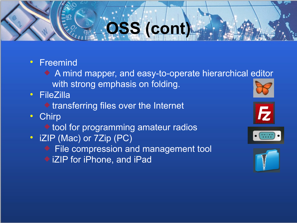# **OSS (cont)**

- Freemind
	- A mind mapper, and easy-to-operate hierarchical editor with strong emphasis on folding.
- FileZilla
	- $\triangle$  transferring files over the Internet
- Chirp
	- ◆ tool for programming amateur radios
- iZIP (Mac) or 7Zip (PC)
	- ◆ File compression and management tool
	- ◆ iZIP for iPhone, and iPad







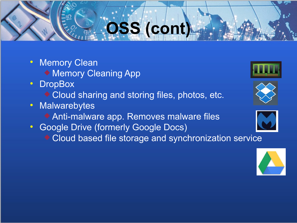# **OSS (cont)**

- Memory Clean
	- ◆ Memory Cleaning App
- DropBox
	- ◆ Cloud sharing and storing files, photos, etc.
- Malwarebytes
	- Anti-malware app. Removes malware files
- **Google Drive (formerly Google Docs)** 
	- Cloud based file storage and synchronization service







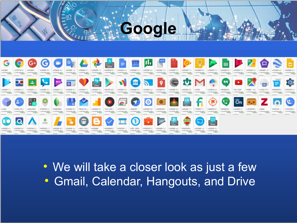

**Google**

 We will take a closer look as just a few Gmail, Calendar, Hangouts, and Drive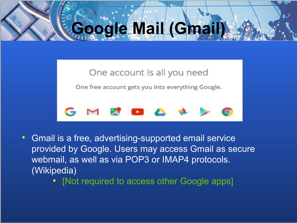# **Google Mail (Gmail)**

#### One account is all you need

One free account gets you into everything Google.



- Gmail is a free, advertising-supported email service provided by Google. Users may access Gmail as secure webmail, as well as via POP3 or IMAP4 protocols. (Wikipedia)
	- [Not required to access other Google apps]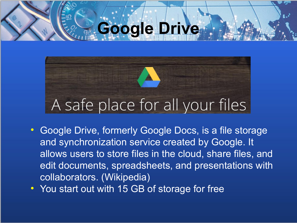# **Google Drive**

# A safe place for all your files

- Google Drive, formerly Google Docs, is a file storage and synchronization service created by Google. It allows users to store files in the cloud, share files, and edit documents, spreadsheets, and presentations with collaborators. (Wikipedia)
- You start out with 15 GB of storage for free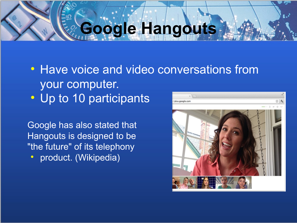# **Google Hangouts**

• Have voice and video conversations from your computer. • Up to 10 participants

Google has also stated that Hangouts is designed to be "the future" of its telephony

**•** product. (Wikipedia)

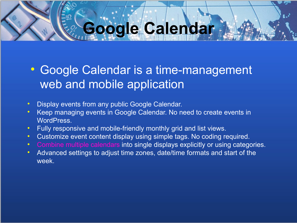# **Google Calendar**

#### Google Calendar is a time-management web and mobile application

- Display events from any public Google Calendar.
- Keep managing events in Google Calendar. No need to create events in WordPress.
- Fully responsive and mobile-friendly monthly grid and list views.
- Customize event content display using simple tags. No coding required.
- Combine multiple calendars into single displays explicitly or using categories.
- Advanced settings to adjust time zones, date/time formats and start of the week.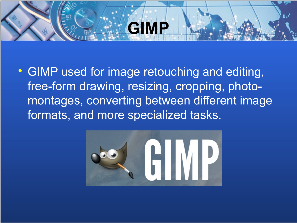# **GIMP**

 GIMP used for image retouching and editing, free-form drawing, resizing, cropping, photomontages, converting between different image formats, and more specialized tasks.

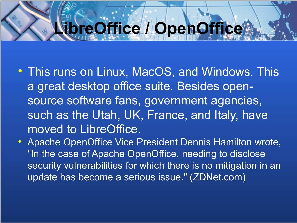## **LibreOffice / OpenOffice**

- This runs on Linux, MacOS, and Windows. This a great desktop office suite. Besides opensource software fans, government agencies, such as the Utah, UK, France, and Italy, have moved to LibreOffice.
- Apache OpenOffice Vice President Dennis Hamilton wrote, "In the case of Apache OpenOffice, needing to disclose security vulnerabilities for which there is no mitigation in an update has become a serious issue." (ZDNet.com)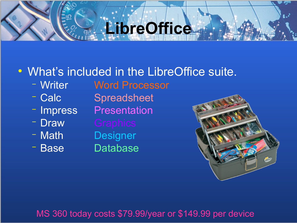## **LibreOffice**

#### What's included in the LibreOffice suite.

- Writer Word Processor
- 
- 
- 
- 
- Base Database

- Calc Spreadsheet - Impress Presentation - Draw Graphics - Math Designer



#### MS 360 today costs \$79.99/year or \$149.99 per device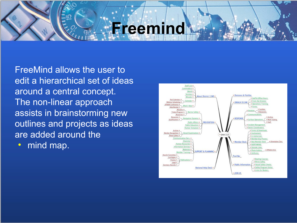### **Freemind**

FreeMind allows the user to edit a hierarchical set of ideas around a central concept. The non-linear approach assists in brainstorming new outlines and projects as ideas are added around the

• mind map.